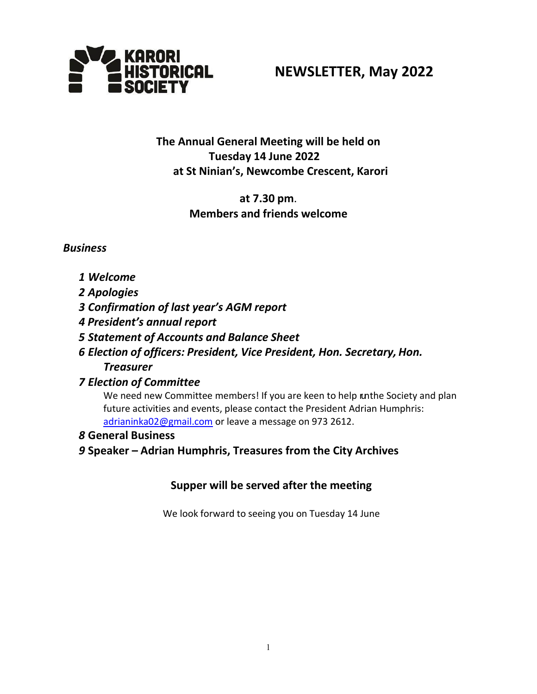

# **NEWSLETTER, May 2022**

## **The Annual General Meeting will be held on Tuesday 14 June 2022 at St Ninian's, Newcombe Crescent, Karori**

## **at 7.30 pm**. **Members and friends welcome**

## *Business*

- *1 Welcome*
- *2 Apologies*
- *3 Confirmation of last year's AGM report*
- *4 President's annual report*
- *5 Statement of Accounts and Balance Sheet*
- *6 Election of officers: President, Vice President, Hon. Secretary, Hon. Treasurer*

## *7 Election of Committee*

We need new Committee members! If you are keen to help unthe Society and plan future activities and events, please contact the President Adrian Humphris: [adrianinka02@gmail.com](mailto:adrianinka02@gmail.com) or leave a message on 973 2612.

*8* **General Business**

*9* **Speaker – Adrian Humphris, Treasures from the City Archives**

## **Supper will be served after the meeting**

We look forward to seeing you on Tuesday 14 June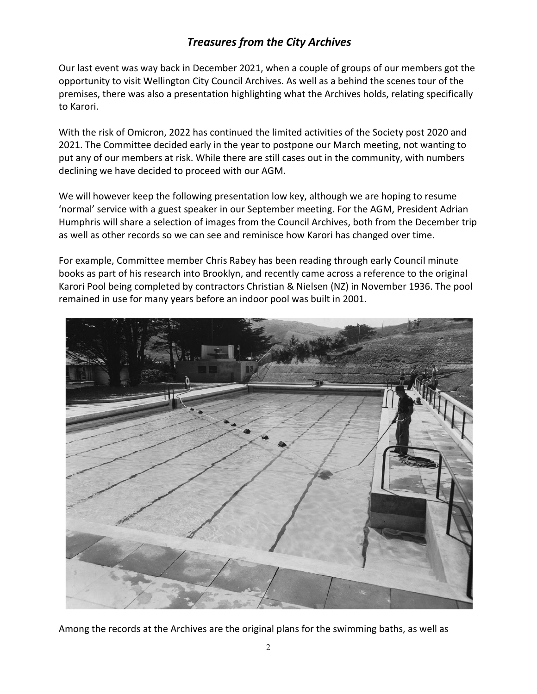## *Treasures from the City Archives*

Our last event was way back in December 2021, when a couple of groups of our members got the opportunity to visit Wellington City Council Archives. As well as a behind the scenes tour of the premises, there was also a presentation highlighting what the Archives holds, relating specifically to Karori.

With the risk of Omicron, 2022 has continued the limited activities of the Society post 2020 and 2021. The Committee decided early in the year to postpone our March meeting, not wanting to put any of our members at risk. While there are still cases out in the community, with numbers declining we have decided to proceed with our AGM.

We will however keep the following presentation low key, although we are hoping to resume 'normal' service with a guest speaker in our September meeting. For the AGM, President Adrian Humphris will share a selection of images from the Council Archives, both from the December trip as well as other records so we can see and reminisce how Karori has changed over time.

For example, Committee member Chris Rabey has been reading through early Council minute books as part of his research into Brooklyn, and recently came across a reference to the original Karori Pool being completed by contractors Christian & Nielsen (NZ) in November 1936. The pool remained in use for many years before an indoor pool was built in 2001.



Among the records at the Archives are the original plans for the swimming baths, as well as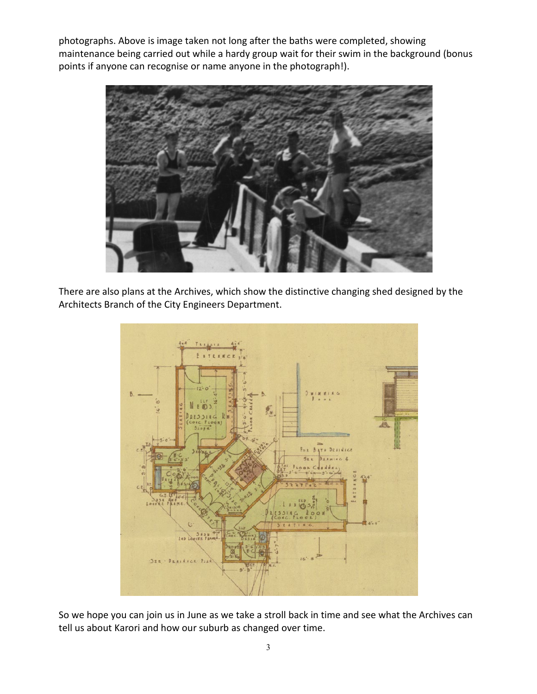photographs. Above is image taken not long after the baths were completed, showing maintenance being carried out while a hardy group wait for their swim in the background (bonus points if anyone can recognise or name anyone in the photograph!).



There are also plans at the Archives, which show the distinctive changing shed designed by the Architects Branch of the City Engineers Department.



So we hope you can join us in June as we take a stroll back in time and see what the Archives can tell us about Karori and how our suburb as changed over time.